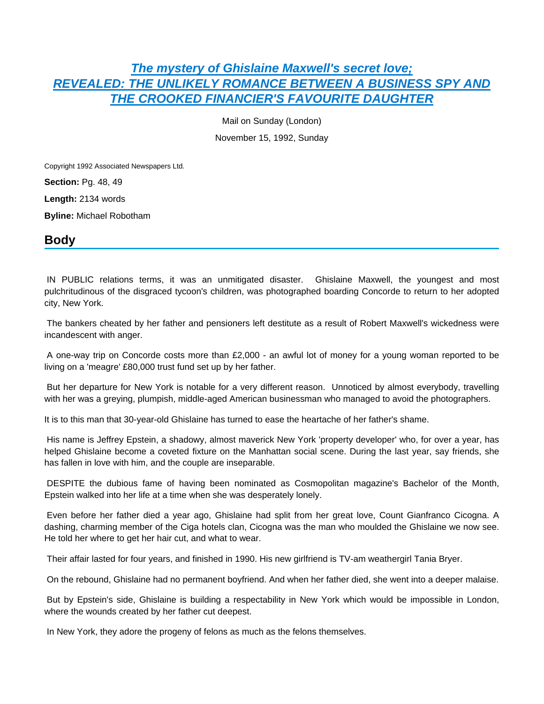# **[The mystery of Ghislaine Maxwell's secret love;](https://advance.lexis.com/api/document?collection=news&id=urn:contentItem:3TD9-X7T0-0074-D4RK-00000-00&context=) [REVEALED: THE UNLIKELY ROMANCE BETWEEN A BUSINESS SPY AND](https://advance.lexis.com/api/document?collection=news&id=urn:contentItem:3TD9-X7T0-0074-D4RK-00000-00&context=)  [THE CROOKED FINANCIER'S FAVOURITE DAUGHTER](https://advance.lexis.com/api/document?collection=news&id=urn:contentItem:3TD9-X7T0-0074-D4RK-00000-00&context=)**

Mail on Sunday (London)

November 15, 1992, Sunday

Copyright 1992 Associated Newspapers Ltd.

**Section:** Pg. 48, 49

**Length:** 2134 words

**Byline:** Michael Robotham

## **Body**

 IN PUBLIC relations terms, it was an unmitigated disaster. Ghislaine Maxwell, the youngest and most pulchritudinous of the disgraced tycoon's children, was photographed boarding Concorde to return to her adopted city, New York.

 The bankers cheated by her father and pensioners left destitute as a result of Robert Maxwell's wickedness were incandescent with anger.

 A one-way trip on Concorde costs more than £2,000 - an awful lot of money for a young woman reported to be living on a 'meagre' £80,000 trust fund set up by her father.

 But her departure for New York is notable for a very different reason. Unnoticed by almost everybody, travelling with her was a greying, plumpish, middle-aged American businessman who managed to avoid the photographers.

It is to this man that 30-year-old Ghislaine has turned to ease the heartache of her father's shame.

 His name is Jeffrey Epstein, a shadowy, almost maverick New York 'property developer' who, for over a year, has helped Ghislaine become a coveted fixture on the Manhattan social scene. During the last year, say friends, she has fallen in love with him, and the couple are inseparable.

 DESPITE the dubious fame of having been nominated as Cosmopolitan magazine's Bachelor of the Month, Epstein walked into her life at a time when she was desperately lonely.

 Even before her father died a year ago, Ghislaine had split from her great love, Count Gianfranco Cicogna. A dashing, charming member of the Ciga hotels clan, Cicogna was the man who moulded the Ghislaine we now see. He told her where to get her hair cut, and what to wear.

Their affair lasted for four years, and finished in 1990. His new girlfriend is TV-am weathergirl Tania Bryer.

On the rebound, Ghislaine had no permanent boyfriend. And when her father died, she went into a deeper malaise.

 But by Epstein's side, Ghislaine is building a respectability in New York which would be impossible in London, where the wounds created by her father cut deepest.

In New York, they adore the progeny of felons as much as the felons themselves.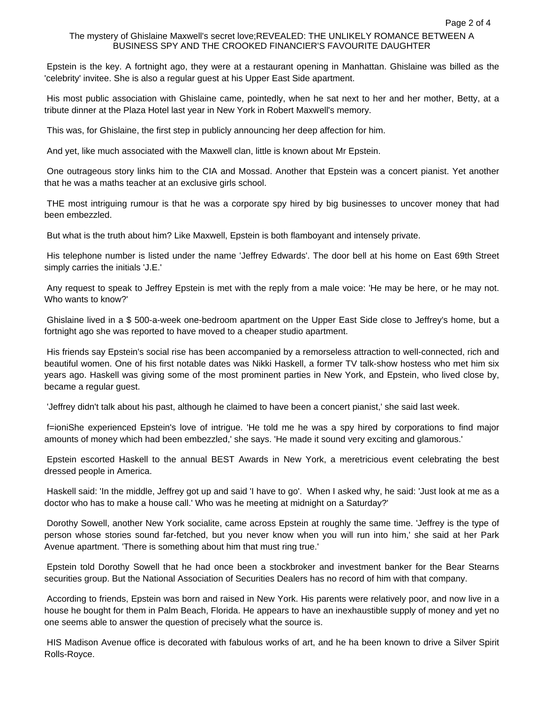#### The mystery of Ghislaine Maxwell's secret love;REVEALED: THE UNLIKELY ROMANCE BETWEEN A BUSINESS SPY AND THE CROOKED FINANCIER'S FAVOURITE DAUGHTER

 Epstein is the key. A fortnight ago, they were at a restaurant opening in Manhattan. Ghislaine was billed as the 'celebrity' invitee. She is also a regular guest at his Upper East Side apartment.

 His most public association with Ghislaine came, pointedly, when he sat next to her and her mother, Betty, at a tribute dinner at the Plaza Hotel last year in New York in Robert Maxwell's memory.

This was, for Ghislaine, the first step in publicly announcing her deep affection for him.

And yet, like much associated with the Maxwell clan, little is known about Mr Epstein.

 One outrageous story links him to the CIA and Mossad. Another that Epstein was a concert pianist. Yet another that he was a maths teacher at an exclusive girls school.

 THE most intriguing rumour is that he was a corporate spy hired by big businesses to uncover money that had been embezzled.

But what is the truth about him? Like Maxwell, Epstein is both flamboyant and intensely private.

 His telephone number is listed under the name 'Jeffrey Edwards'. The door bell at his home on East 69th Street simply carries the initials 'J.E.'

 Any request to speak to Jeffrey Epstein is met with the reply from a male voice: 'He may be here, or he may not. Who wants to know?'

 Ghislaine lived in a \$ 500-a-week one-bedroom apartment on the Upper East Side close to Jeffrey's home, but a fortnight ago she was reported to have moved to a cheaper studio apartment.

 His friends say Epstein's social rise has been accompanied by a remorseless attraction to well-connected, rich and beautiful women. One of his first notable dates was Nikki Haskell, a former TV talk-show hostess who met him six years ago. Haskell was giving some of the most prominent parties in New York, and Epstein, who lived close by, became a regular guest.

'Jeffrey didn't talk about his past, although he claimed to have been a concert pianist,' she said last week.

 f=ioniShe experienced Epstein's love of intrigue. 'He told me he was a spy hired by corporations to find major amounts of money which had been embezzled,' she says. 'He made it sound very exciting and glamorous.'

 Epstein escorted Haskell to the annual BEST Awards in New York, a meretricious event celebrating the best dressed people in America.

 Haskell said: 'In the middle, Jeffrey got up and said 'I have to go'. When I asked why, he said: 'Just look at me as a doctor who has to make a house call.' Who was he meeting at midnight on a Saturday?'

 Dorothy Sowell, another New York socialite, came across Epstein at roughly the same time. 'Jeffrey is the type of person whose stories sound far-fetched, but you never know when you will run into him,' she said at her Park Avenue apartment. 'There is something about him that must ring true.'

 Epstein told Dorothy Sowell that he had once been a stockbroker and investment banker for the Bear Stearns securities group. But the National Association of Securities Dealers has no record of him with that company.

 According to friends, Epstein was born and raised in New York. His parents were relatively poor, and now live in a house he bought for them in Palm Beach, Florida. He appears to have an inexhaustible supply of money and yet no one seems able to answer the question of precisely what the source is.

 HIS Madison Avenue office is decorated with fabulous works of art, and he ha been known to drive a Silver Spirit Rolls-Royce.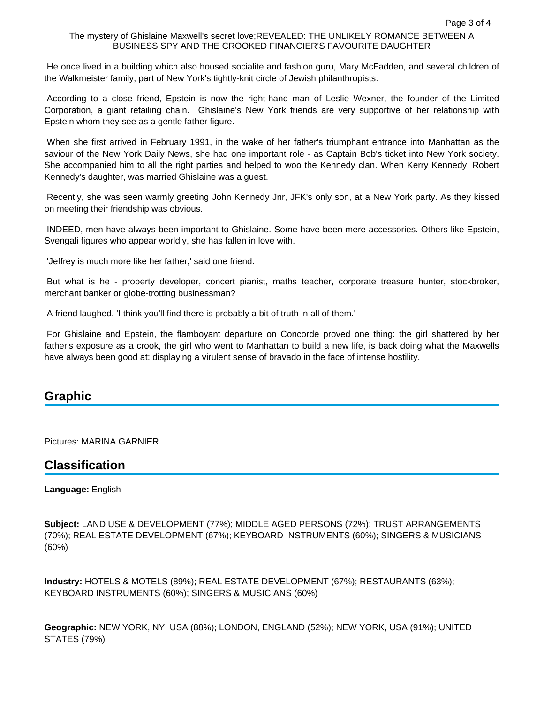### The mystery of Ghislaine Maxwell's secret love;REVEALED: THE UNLIKELY ROMANCE BETWEEN A BUSINESS SPY AND THE CROOKED FINANCIER'S FAVOURITE DAUGHTER

 He once lived in a building which also housed socialite and fashion guru, Mary McFadden, and several children of the Walkmeister family, part of New York's tightly-knit circle of Jewish philanthropists.

 According to a close friend, Epstein is now the right-hand man of Leslie Wexner, the founder of the Limited Corporation, a giant retailing chain. Ghislaine's New York friends are very supportive of her relationship with Epstein whom they see as a gentle father figure.

 When she first arrived in February 1991, in the wake of her father's triumphant entrance into Manhattan as the saviour of the New York Daily News, she had one important role - as Captain Bob's ticket into New York society. She accompanied him to all the right parties and helped to woo the Kennedy clan. When Kerry Kennedy, Robert Kennedy's daughter, was married Ghislaine was a guest.

 Recently, she was seen warmly greeting John Kennedy Jnr, JFK's only son, at a New York party. As they kissed on meeting their friendship was obvious.

 INDEED, men have always been important to Ghislaine. Some have been mere accessories. Others like Epstein, Svengali figures who appear worldly, she has fallen in love with.

'Jeffrey is much more like her father,' said one friend.

 But what is he - property developer, concert pianist, maths teacher, corporate treasure hunter, stockbroker, merchant banker or globe-trotting businessman?

A friend laughed. 'I think you'll find there is probably a bit of truth in all of them.'

 For Ghislaine and Epstein, the flamboyant departure on Concorde proved one thing: the girl shattered by her father's exposure as a crook, the girl who went to Manhattan to build a new life, is back doing what the Maxwells have always been good at: displaying a virulent sense of bravado in the face of intense hostility.

## **Graphic**

Pictures: MARINA GARNIER

## **Classification**

### **Language:** English

**Subject:** LAND USE & DEVELOPMENT (77%); MIDDLE AGED PERSONS (72%); TRUST ARRANGEMENTS (70%); REAL ESTATE DEVELOPMENT (67%); KEYBOARD INSTRUMENTS (60%); SINGERS & MUSICIANS (60%)

**Industry:** HOTELS & MOTELS (89%); REAL ESTATE DEVELOPMENT (67%); RESTAURANTS (63%); KEYBOARD INSTRUMENTS (60%); SINGERS & MUSICIANS (60%)

**Geographic:** NEW YORK, NY, USA (88%); LONDON, ENGLAND (52%); NEW YORK, USA (91%); UNITED STATES (79%)